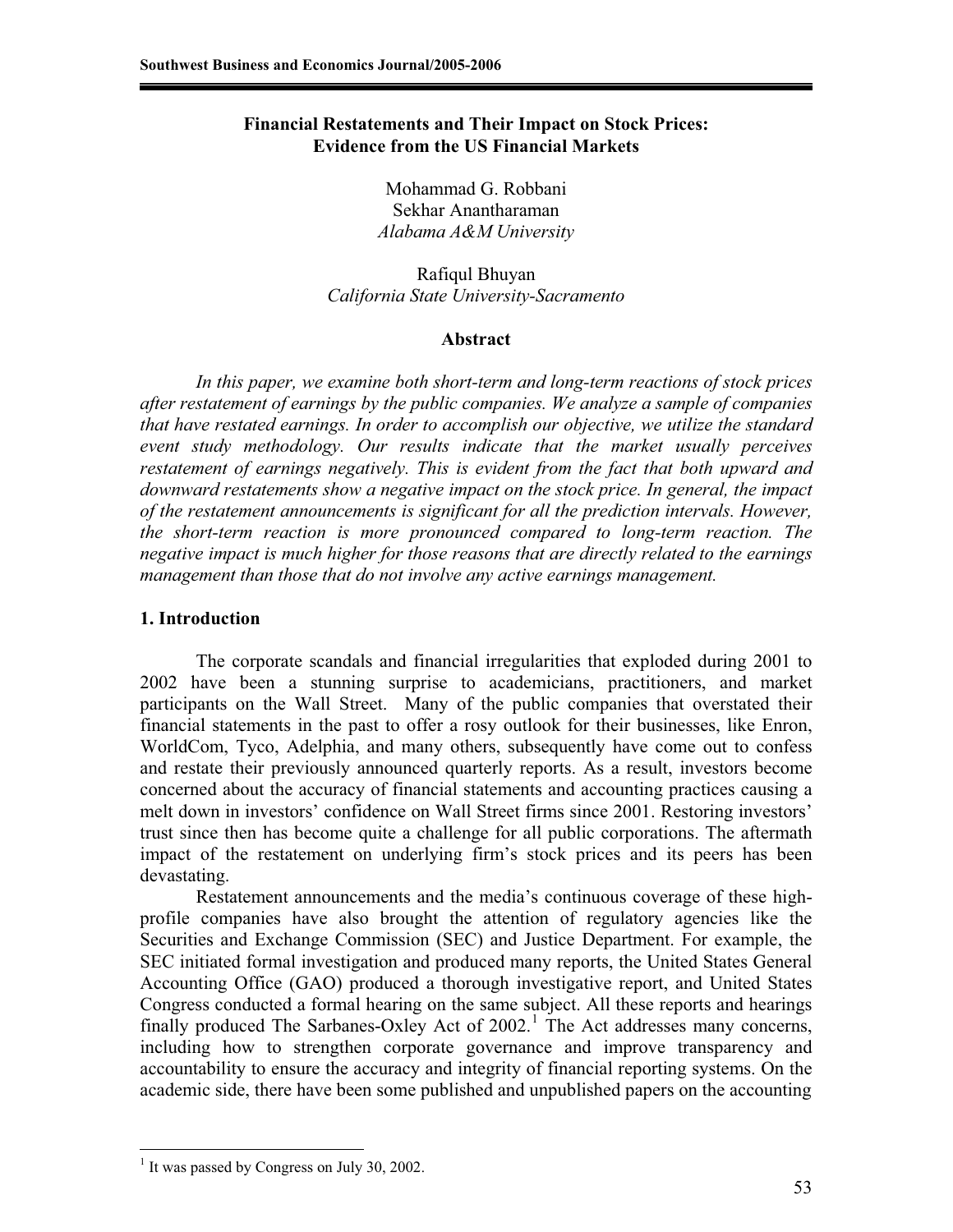# **Financial Restatements and Their Impact on Stock Prices: Evidence from the US Financial Markets**

Mohammad G. Robbani Sekhar Anantharaman *Alabama A&M University* 

Rafiqul Bhuyan *California State University-Sacramento* 

## **Abstract**

*In this paper, we examine both short-term and long-term reactions of stock prices after restatement of earnings by the public companies. We analyze a sample of companies that have restated earnings. In order to accomplish our objective, we utilize the standard event study methodology. Our results indicate that the market usually perceives restatement of earnings negatively. This is evident from the fact that both upward and downward restatements show a negative impact on the stock price. In general, the impact of the restatement announcements is significant for all the prediction intervals. However, the short-term reaction is more pronounced compared to long-term reaction. The negative impact is much higher for those reasons that are directly related to the earnings management than those that do not involve any active earnings management.*

## **1. Introduction**

 The corporate scandals and financial irregularities that exploded during 2001 to 2002 have been a stunning surprise to academicians, practitioners, and market participants on the Wall Street. Many of the public companies that overstated their financial statements in the past to offer a rosy outlook for their businesses, like Enron, WorldCom, Tyco, Adelphia, and many others, subsequently have come out to confess and restate their previously announced quarterly reports. As a result, investors become concerned about the accuracy of financial statements and accounting practices causing a melt down in investors' confidence on Wall Street firms since 2001. Restoring investors' trust since then has become quite a challenge for all public corporations. The aftermath impact of the restatement on underlying firm's stock prices and its peers has been devastating.

Restatement announcements and the media's continuous coverage of these highprofile companies have also brought the attention of regulatory agencies like the Securities and Exchange Commission (SEC) and Justice Department. For example, the SEC initiated formal investigation and produced many reports, the United States General Accounting Office (GAO) produced a thorough investigative report, and United States Congress conducted a formal hearing on the same subject. All these reports and hearings finally produced The Sarbanes-Oxley Act of  $2002$ .<sup>1</sup> The Act addresses many concerns, including how to strengthen corporate governance and improve transparency and accountability to ensure the accuracy and integrity of financial reporting systems. On the academic side, there have been some published and unpublished papers on the accounting

 $\overline{a}$ <sup>1</sup> It was passed by Congress on July 30, 2002.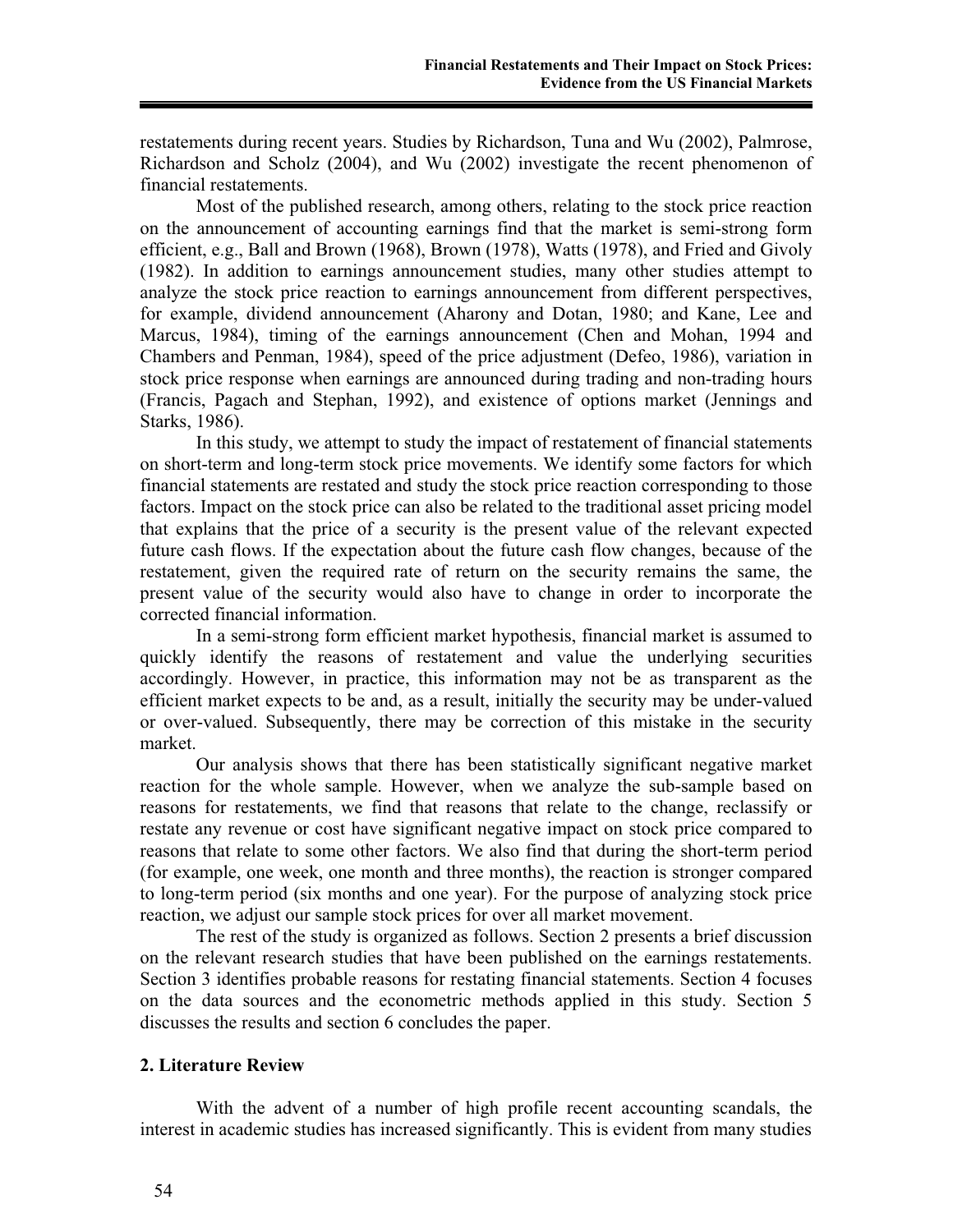restatements during recent years. Studies by Richardson, Tuna and Wu (2002), Palmrose, Richardson and Scholz (2004), and Wu (2002) investigate the recent phenomenon of financial restatements.

Most of the published research, among others, relating to the stock price reaction on the announcement of accounting earnings find that the market is semi-strong form efficient, e.g., Ball and Brown (1968), Brown (1978), Watts (1978), and Fried and Givoly (1982). In addition to earnings announcement studies, many other studies attempt to analyze the stock price reaction to earnings announcement from different perspectives, for example, dividend announcement (Aharony and Dotan, 1980; and Kane, Lee and Marcus, 1984), timing of the earnings announcement (Chen and Mohan, 1994 and Chambers and Penman, 1984), speed of the price adjustment (Defeo, 1986), variation in stock price response when earnings are announced during trading and non-trading hours (Francis, Pagach and Stephan, 1992), and existence of options market (Jennings and Starks, 1986).

 In this study, we attempt to study the impact of restatement of financial statements on short-term and long-term stock price movements. We identify some factors for which financial statements are restated and study the stock price reaction corresponding to those factors. Impact on the stock price can also be related to the traditional asset pricing model that explains that the price of a security is the present value of the relevant expected future cash flows. If the expectation about the future cash flow changes, because of the restatement, given the required rate of return on the security remains the same, the present value of the security would also have to change in order to incorporate the corrected financial information.

In a semi-strong form efficient market hypothesis, financial market is assumed to quickly identify the reasons of restatement and value the underlying securities accordingly. However, in practice, this information may not be as transparent as the efficient market expects to be and, as a result, initially the security may be under-valued or over-valued. Subsequently, there may be correction of this mistake in the security market.

 Our analysis shows that there has been statistically significant negative market reaction for the whole sample. However, when we analyze the sub-sample based on reasons for restatements, we find that reasons that relate to the change, reclassify or restate any revenue or cost have significant negative impact on stock price compared to reasons that relate to some other factors. We also find that during the short-term period (for example, one week, one month and three months), the reaction is stronger compared to long-term period (six months and one year). For the purpose of analyzing stock price reaction, we adjust our sample stock prices for over all market movement.

 The rest of the study is organized as follows. Section 2 presents a brief discussion on the relevant research studies that have been published on the earnings restatements. Section 3 identifies probable reasons for restating financial statements. Section 4 focuses on the data sources and the econometric methods applied in this study. Section 5 discusses the results and section 6 concludes the paper.

## **2. Literature Review**

With the advent of a number of high profile recent accounting scandals, the interest in academic studies has increased significantly. This is evident from many studies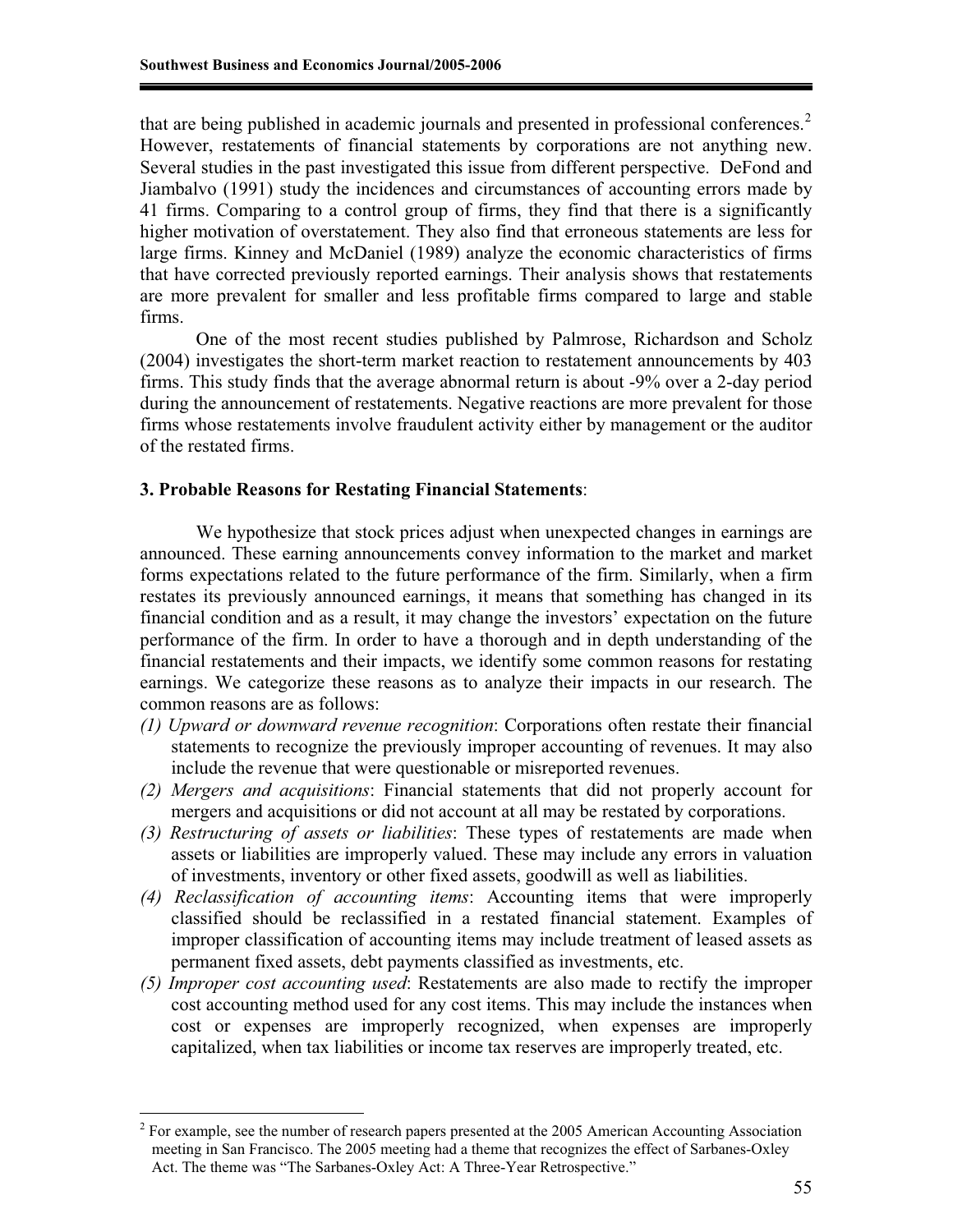that are being published in academic journals and presented in professional conferences. $2$ However, restatements of financial statements by corporations are not anything new. Several studies in the past investigated this issue from different perspective. DeFond and Jiambalvo (1991) study the incidences and circumstances of accounting errors made by 41 firms. Comparing to a control group of firms, they find that there is a significantly higher motivation of overstatement. They also find that erroneous statements are less for large firms. Kinney and McDaniel (1989) analyze the economic characteristics of firms that have corrected previously reported earnings. Their analysis shows that restatements are more prevalent for smaller and less profitable firms compared to large and stable firms.

One of the most recent studies published by Palmrose, Richardson and Scholz (2004) investigates the short-term market reaction to restatement announcements by 403 firms. This study finds that the average abnormal return is about -9% over a 2-day period during the announcement of restatements. Negative reactions are more prevalent for those firms whose restatements involve fraudulent activity either by management or the auditor of the restated firms.

## **3. Probable Reasons for Restating Financial Statements**:

We hypothesize that stock prices adjust when unexpected changes in earnings are announced. These earning announcements convey information to the market and market forms expectations related to the future performance of the firm. Similarly, when a firm restates its previously announced earnings, it means that something has changed in its financial condition and as a result, it may change the investors' expectation on the future performance of the firm. In order to have a thorough and in depth understanding of the financial restatements and their impacts, we identify some common reasons for restating earnings. We categorize these reasons as to analyze their impacts in our research. The common reasons are as follows:

- *(1) Upward or downward revenue recognition*: Corporations often restate their financial statements to recognize the previously improper accounting of revenues. It may also include the revenue that were questionable or misreported revenues.
- *(2) Mergers and acquisitions*: Financial statements that did not properly account for mergers and acquisitions or did not account at all may be restated by corporations.
- *(3) Restructuring of assets or liabilities*: These types of restatements are made when assets or liabilities are improperly valued. These may include any errors in valuation of investments, inventory or other fixed assets, goodwill as well as liabilities.
- *(4) Reclassification of accounting items*: Accounting items that were improperly classified should be reclassified in a restated financial statement. Examples of improper classification of accounting items may include treatment of leased assets as permanent fixed assets, debt payments classified as investments, etc.
- *(5) Improper cost accounting used*: Restatements are also made to rectify the improper cost accounting method used for any cost items. This may include the instances when cost or expenses are improperly recognized, when expenses are improperly capitalized, when tax liabilities or income tax reserves are improperly treated, etc.

 $\overline{a}$ 

<sup>2</sup> For example, see the number of research papers presented at the 2005 American Accounting Association meeting in San Francisco. The 2005 meeting had a theme that recognizes the effect of Sarbanes-Oxley Act. The theme was "The Sarbanes-Oxley Act: A Three-Year Retrospective."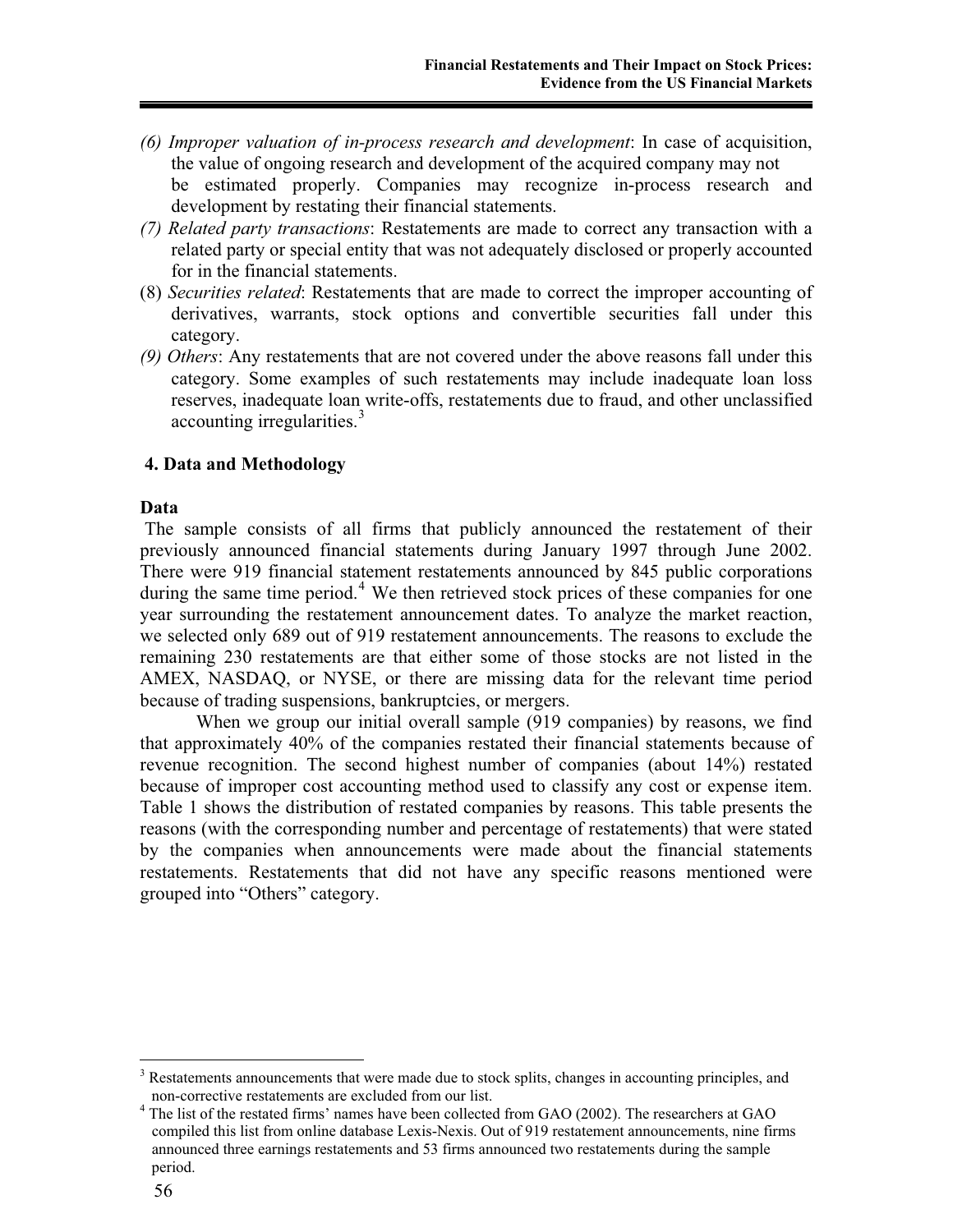- *(6) Improper valuation of in-process research and development*: In case of acquisition, the value of ongoing research and development of the acquired company may not be estimated properly. Companies may recognize in-process research and development by restating their financial statements.
- *(7) Related party transactions*: Restatements are made to correct any transaction with a related party or special entity that was not adequately disclosed or properly accounted for in the financial statements.
- (8) *Securities related*: Restatements that are made to correct the improper accounting of derivatives, warrants, stock options and convertible securities fall under this category.
- *(9) Others*: Any restatements that are not covered under the above reasons fall under this category. Some examples of such restatements may include inadequate loan loss reserves, inadequate loan write-offs, restatements due to fraud, and other unclassified accounting irregularities.<sup>3</sup>

# **4. Data and Methodology**

## **Data**

 The sample consists of all firms that publicly announced the restatement of their previously announced financial statements during January 1997 through June 2002. There were 919 financial statement restatements announced by 845 public corporations during the same time period.<sup>4</sup> We then retrieved stock prices of these companies for one year surrounding the restatement announcement dates. To analyze the market reaction, we selected only 689 out of 919 restatement announcements. The reasons to exclude the remaining 230 restatements are that either some of those stocks are not listed in the AMEX, NASDAQ, or NYSE, or there are missing data for the relevant time period because of trading suspensions, bankruptcies, or mergers.

 When we group our initial overall sample (919 companies) by reasons, we find that approximately 40% of the companies restated their financial statements because of revenue recognition. The second highest number of companies (about 14%) restated because of improper cost accounting method used to classify any cost or expense item. Table 1 shows the distribution of restated companies by reasons. This table presents the reasons (with the corresponding number and percentage of restatements) that were stated by the companies when announcements were made about the financial statements restatements. Restatements that did not have any specific reasons mentioned were grouped into "Others" category.

 $\overline{a}$ <sup>3</sup> Restatements announcements that were made due to stock splits, changes in accounting principles, and non-corrective restatements are excluded from our list.

 $4$  The list of the restated firms' names have been collected from GAO (2002). The researchers at GAO compiled this list from online database Lexis-Nexis. Out of 919 restatement announcements, nine firms announced three earnings restatements and 53 firms announced two restatements during the sample period.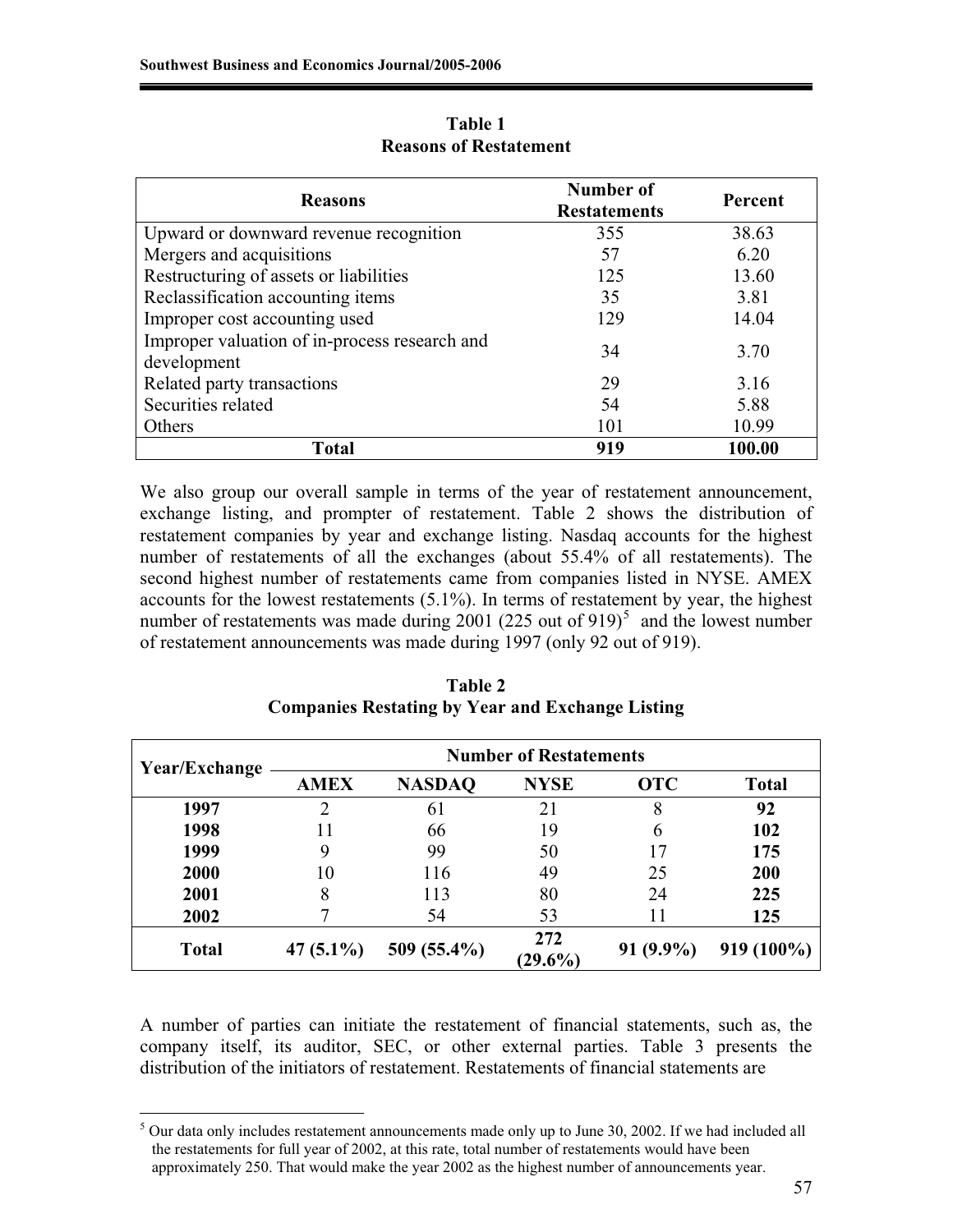| <b>Reasons</b>                                               | Number of<br><b>Restatements</b> | <b>Percent</b> |  |
|--------------------------------------------------------------|----------------------------------|----------------|--|
| Upward or downward revenue recognition                       | 355                              | 38.63          |  |
| Mergers and acquisitions                                     | 57                               | 6.20           |  |
| Restructuring of assets or liabilities                       | 125                              | 13.60          |  |
| Reclassification accounting items                            | 35                               | 3.81           |  |
| Improper cost accounting used                                | 129                              | 14.04          |  |
| Improper valuation of in-process research and<br>development | 34                               | 3.70           |  |
| Related party transactions                                   | 29                               | 3.16           |  |
| Securities related                                           | 54                               | 5.88           |  |
| Others                                                       | 101                              | 10.99          |  |
| Total                                                        | 919                              | 100.00         |  |

**Table 1 Reasons of Restatement** 

We also group our overall sample in terms of the year of restatement announcement, exchange listing, and prompter of restatement. Table 2 shows the distribution of restatement companies by year and exchange listing. Nasdaq accounts for the highest number of restatements of all the exchanges (about 55.4% of all restatements). The second highest number of restatements came from companies listed in NYSE. AMEX accounts for the lowest restatements (5.1%). In terms of restatement by year, the highest number of restatements was made during  $2001$  (225 out of 919)<sup>5</sup> and the lowest number of restatement announcements was made during 1997 (only 92 out of 919).

| Year/Exchange | <b>Number of Restatements</b> |               |                   |             |              |  |
|---------------|-------------------------------|---------------|-------------------|-------------|--------------|--|
|               | <b>AMEX</b>                   | <b>NASDAQ</b> | <b>NYSE</b>       | <b>OTC</b>  | <b>Total</b> |  |
| 1997          | າ                             | 61            | 21                | 8           | 92           |  |
| 1998          |                               | 66            | 19                |             | 102          |  |
| 1999          | 9                             | 99            | 50                |             | 175          |  |
| 2000          | 10                            | 116           | 49                | 25          | 200          |  |
| 2001          | 8                             | 113           | 80                | 24          | 225          |  |
| 2002          |                               | 54            | 53                |             | 125          |  |
| <b>Total</b>  | 47 $(5.1\%)$                  | 509 (55.4%)   | 272<br>$(29.6\%)$ | $91(9.9\%)$ | 919 (100%)   |  |

**Table 2 Companies Restating by Year and Exchange Listing** 

A number of parties can initiate the restatement of financial statements, such as, the company itself, its auditor, SEC, or other external parties. Table 3 presents the distribution of the initiators of restatement. Restatements of financial statements are

 $\overline{a}$ <sup>5</sup> Our data only includes restatement announcements made only up to June 30, 2002. If we had included all the restatements for full year of 2002, at this rate, total number of restatements would have been approximately 250. That would make the year 2002 as the highest number of announcements year.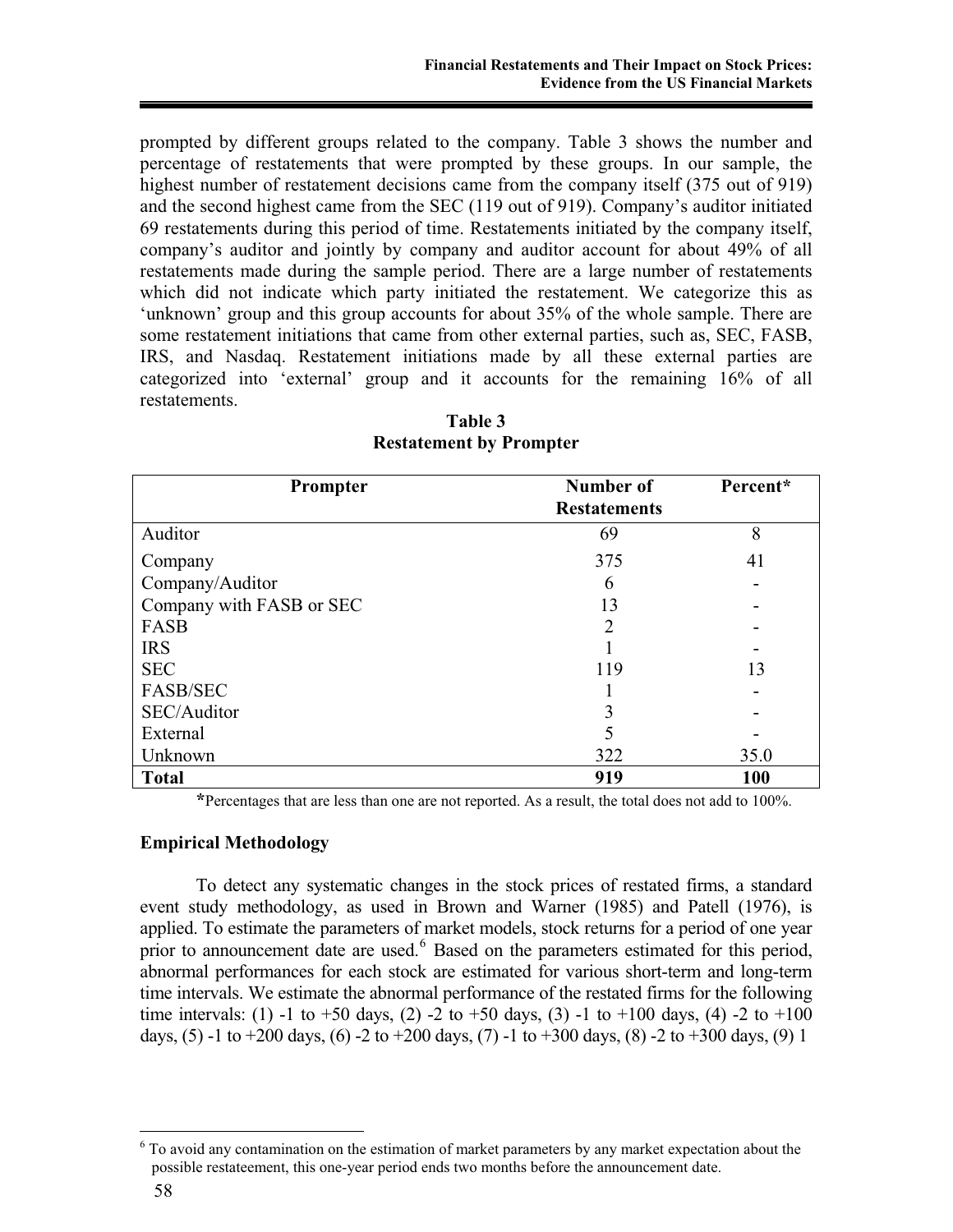prompted by different groups related to the company. Table 3 shows the number and percentage of restatements that were prompted by these groups. In our sample, the highest number of restatement decisions came from the company itself (375 out of 919) and the second highest came from the SEC (119 out of 919). Company's auditor initiated 69 restatements during this period of time. Restatements initiated by the company itself, company's auditor and jointly by company and auditor account for about 49% of all restatements made during the sample period. There are a large number of restatements which did not indicate which party initiated the restatement. We categorize this as 'unknown' group and this group accounts for about 35% of the whole sample. There are some restatement initiations that came from other external parties, such as, SEC, FASB, IRS, and Nasdaq. Restatement initiations made by all these external parties are categorized into 'external' group and it accounts for the remaining 16% of all restatements.

| Prompter                 | Number of<br><b>Restatements</b> | Percent*   |
|--------------------------|----------------------------------|------------|
| Auditor                  | 69                               | 8          |
|                          |                                  |            |
| Company                  | 375                              | 41         |
| Company/Auditor          | 6                                |            |
| Company with FASB or SEC | 13                               |            |
| FASB                     | 2                                |            |
| <b>IRS</b>               |                                  |            |
| <b>SEC</b>               | 119                              | 13         |
| <b>FASB/SEC</b>          |                                  |            |
| SEC/Auditor              |                                  |            |
| External                 |                                  |            |
| Unknown                  | 322                              | 35.0       |
| <b>Total</b>             | 919                              | <b>100</b> |

**Table 3 Restatement by Prompter** 

 **\***Percentages that are less than one are not reported. As a result, the total does not add to 100%.

## **Empirical Methodology**

 To detect any systematic changes in the stock prices of restated firms, a standard event study methodology, as used in Brown and Warner (1985) and Patell (1976), is applied. To estimate the parameters of market models, stock returns for a period of one year prior to announcement date are used.<sup>6</sup> Based on the parameters estimated for this period, abnormal performances for each stock are estimated for various short-term and long-term time intervals. We estimate the abnormal performance of the restated firms for the following time intervals: (1) -1 to +50 days, (2) -2 to +50 days, (3) -1 to +100 days, (4) -2 to +100 days, (5) -1 to +200 days, (6) -2 to +200 days, (7) -1 to +300 days, (8) -2 to +300 days, (9) 1

 $\overline{a}$ 

<sup>&</sup>lt;sup>6</sup> To avoid any contamination on the estimation of market parameters by any market expectation about the possible restateement, this one-year period ends two months before the announcement date.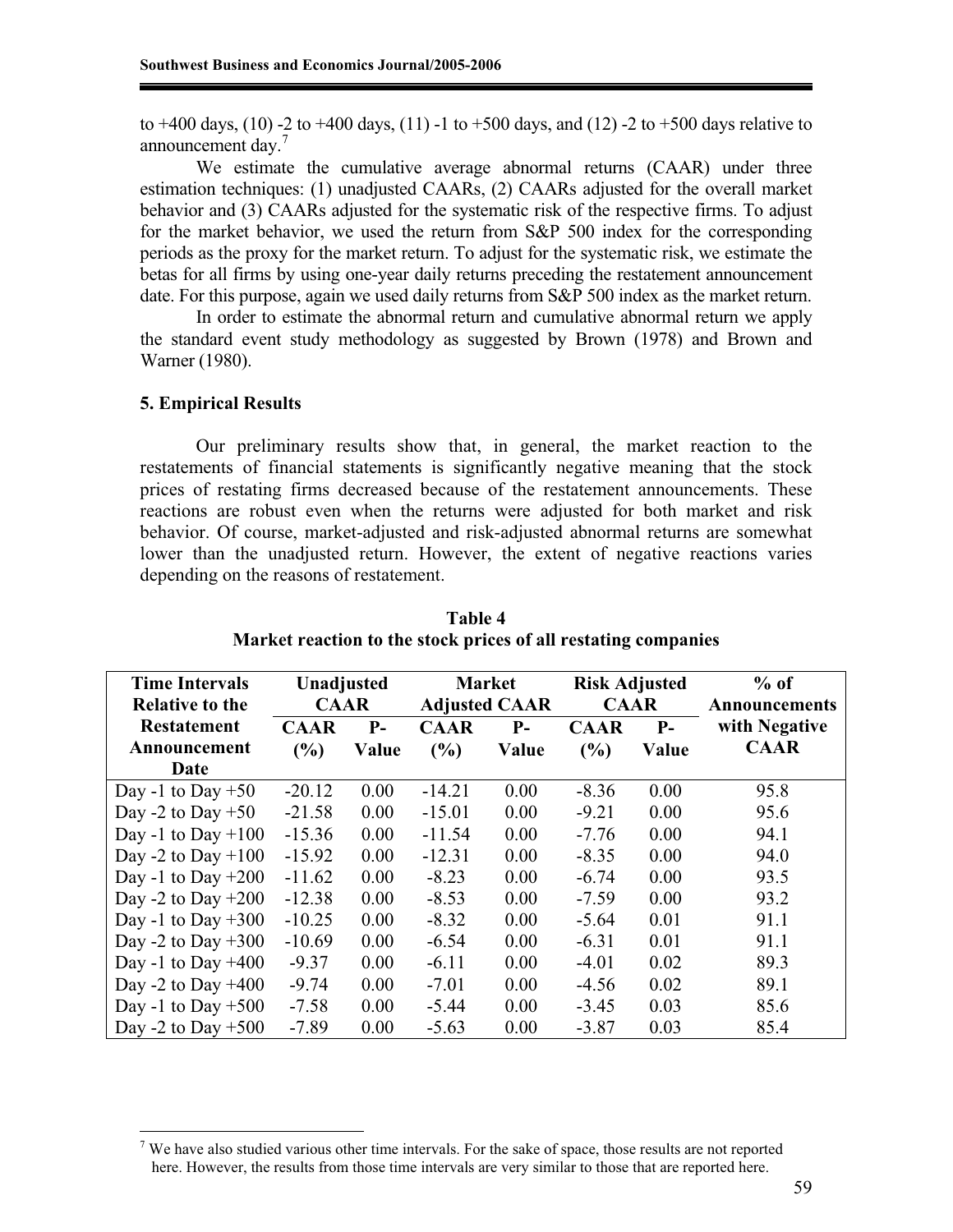to +400 days, (10) -2 to +400 days, (11) -1 to +500 days, and (12) -2 to +500 days relative to announcement day.<sup>7</sup>

 We estimate the cumulative average abnormal returns (CAAR) under three estimation techniques: (1) unadjusted CAARs, (2) CAARs adjusted for the overall market behavior and (3) CAARs adjusted for the systematic risk of the respective firms. To adjust for the market behavior, we used the return from S&P 500 index for the corresponding periods as the proxy for the market return. To adjust for the systematic risk, we estimate the betas for all firms by using one-year daily returns preceding the restatement announcement date. For this purpose, again we used daily returns from S&P 500 index as the market return.

 In order to estimate the abnormal return and cumulative abnormal return we apply the standard event study methodology as suggested by Brown (1978) and Brown and Warner (1980).

#### **5. Empirical Results**

 $\overline{a}$ 

Our preliminary results show that, in general, the market reaction to the restatements of financial statements is significantly negative meaning that the stock prices of restating firms decreased because of the restatement announcements. These reactions are robust even when the returns were adjusted for both market and risk behavior. Of course, market-adjusted and risk-adjusted abnormal returns are somewhat lower than the unadjusted return. However, the extent of negative reactions varies depending on the reasons of restatement.

| <b>Time Intervals</b>  | Unadjusted  |       |             | <b>Market</b>        | <b>Risk Adjusted</b> |       | $%$ of        |
|------------------------|-------------|-------|-------------|----------------------|----------------------|-------|---------------|
| <b>Relative to the</b> | <b>CAAR</b> |       |             | <b>Adjusted CAAR</b> | <b>CAAR</b>          |       | Announcements |
| <b>Restatement</b>     | <b>CAAR</b> | $P-$  | <b>CAAR</b> | $P-$                 | <b>CAAR</b>          | $P-$  | with Negative |
| Announcement           | (%)         | Value | (%)         | Value                | (%)                  | Value | <b>CAAR</b>   |
| Date                   |             |       |             |                      |                      |       |               |
| Day -1 to Day $+50$    | $-20.12$    | 0.00  | $-14.21$    | 0.00                 | $-8.36$              | 0.00  | 95.8          |
| Day -2 to Day $+50$    | $-21.58$    | 0.00  | $-15.01$    | 0.00                 | $-9.21$              | 0.00  | 95.6          |
| Day -1 to Day $+100$   | $-15.36$    | 0.00  | $-11.54$    | 0.00                 | $-7.76$              | 0.00  | 94.1          |
| Day -2 to Day $+100$   | $-15.92$    | 0.00  | $-12.31$    | 0.00                 | $-8.35$              | 0.00  | 94.0          |
| Day -1 to Day $+200$   | $-11.62$    | 0.00  | $-8.23$     | 0.00                 | $-6.74$              | 0.00  | 93.5          |
| Day -2 to Day $+200$   | $-12.38$    | 0.00  | $-8.53$     | 0.00                 | $-7.59$              | 0.00  | 93.2          |
| Day -1 to Day $+300$   | $-10.25$    | 0.00  | $-8.32$     | 0.00                 | $-5.64$              | 0.01  | 91.1          |
| Day -2 to Day $+300$   | $-10.69$    | 0.00  | $-6.54$     | 0.00                 | $-6.31$              | 0.01  | 91.1          |
| Day -1 to Day $+400$   | $-9.37$     | 0.00  | $-6.11$     | 0.00                 | $-4.01$              | 0.02  | 89.3          |
| Day -2 to Day $+400$   | $-9.74$     | 0.00  | $-7.01$     | 0.00                 | $-4.56$              | 0.02  | 89.1          |
| Day -1 to Day $+500$   | $-7.58$     | 0.00  | $-5.44$     | 0.00                 | $-3.45$              | 0.03  | 85.6          |
| Day -2 to Day $+500$   | $-7.89$     | 0.00  | $-5.63$     | 0.00                 | $-3.87$              | 0.03  | 85.4          |

**Table 4 Market reaction to the stock prices of all restating companies** 

 $7$  We have also studied various other time intervals. For the sake of space, those results are not reported here. However, the results from those time intervals are very similar to those that are reported here.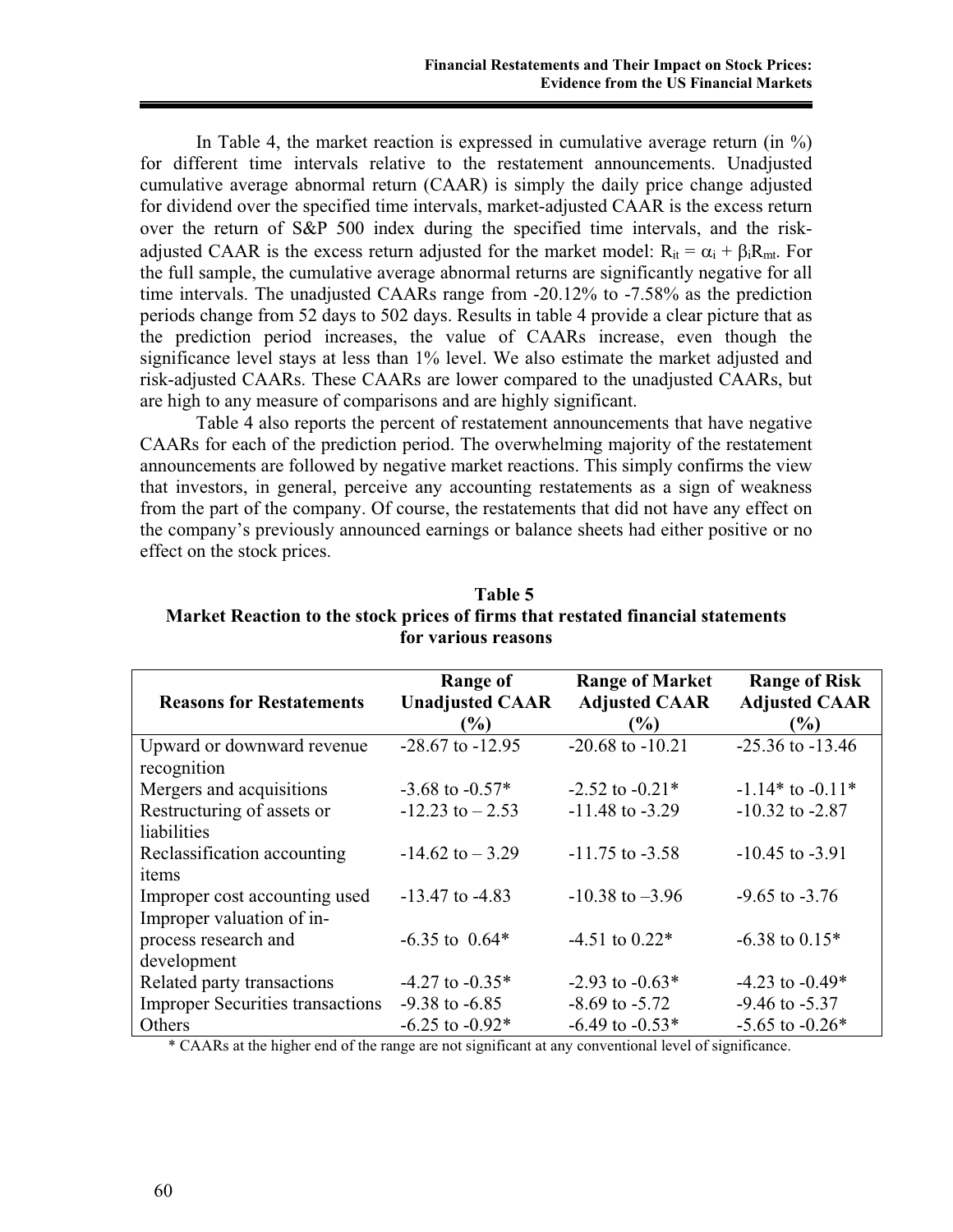In Table 4, the market reaction is expressed in cumulative average return (in  $\%$ ) for different time intervals relative to the restatement announcements. Unadjusted cumulative average abnormal return (CAAR) is simply the daily price change adjusted for dividend over the specified time intervals, market-adjusted CAAR is the excess return over the return of S&P 500 index during the specified time intervals, and the riskadjusted CAAR is the excess return adjusted for the market model:  $R_{it} = \alpha_i + \beta_i R_{mt}$ . For the full sample, the cumulative average abnormal returns are significantly negative for all time intervals. The unadjusted CAARs range from -20.12% to -7.58% as the prediction periods change from 52 days to 502 days. Results in table 4 provide a clear picture that as the prediction period increases, the value of CAARs increase, even though the significance level stays at less than 1% level. We also estimate the market adjusted and risk-adjusted CAARs. These CAARs are lower compared to the unadjusted CAARs, but are high to any measure of comparisons and are highly significant.

Table 4 also reports the percent of restatement announcements that have negative CAARs for each of the prediction period. The overwhelming majority of the restatement announcements are followed by negative market reactions. This simply confirms the view that investors, in general, perceive any accounting restatements as a sign of weakness from the part of the company. Of course, the restatements that did not have any effect on the company's previously announced earnings or balance sheets had either positive or no effect on the stock prices.

| Table 5                                                                         |
|---------------------------------------------------------------------------------|
| Market Reaction to the stock prices of firms that restated financial statements |
| for various reasons                                                             |

| <b>Reasons for Restatements</b>         | Range of<br><b>Unadjusted CAAR</b><br>$\binom{0}{0}$ | <b>Range of Market</b><br><b>Adjusted CAAR</b><br>(%) | <b>Range of Risk</b><br><b>Adjusted CAAR</b><br>(%) |
|-----------------------------------------|------------------------------------------------------|-------------------------------------------------------|-----------------------------------------------------|
| Upward or downward revenue              | $-28.67$ to $-12.95$                                 | $-20.68$ to $-10.21$                                  | $-25.36$ to $-13.46$                                |
| recognition                             |                                                      |                                                       |                                                     |
| Mergers and acquisitions                | $-3.68$ to $-0.57*$                                  | $-2.52$ to $-0.21*$                                   | $-1.14*$ to $-0.11*$                                |
| Restructuring of assets or              | $-12.23$ to $-2.53$                                  | $-11.48$ to $-3.29$                                   | $-10.32$ to $-2.87$                                 |
| liabilities                             |                                                      |                                                       |                                                     |
| Reclassification accounting             | $-14.62$ to $-3.29$                                  | $-11.75$ to $-3.58$                                   | $-10.45$ to $-3.91$                                 |
| items                                   |                                                      |                                                       |                                                     |
| Improper cost accounting used           | $-13.47$ to $-4.83$                                  | $-10.38$ to $-3.96$                                   | $-9.65$ to $-3.76$                                  |
| Improper valuation of in-               |                                                      |                                                       |                                                     |
| process research and                    | $-6.35$ to $0.64*$                                   | $-4.51$ to $0.22*$                                    | $-6.38$ to $0.15*$                                  |
| development                             |                                                      |                                                       |                                                     |
| Related party transactions              | $-4.27$ to $-0.35*$                                  | $-2.93$ to $-0.63*$                                   | $-4.23$ to $-0.49*$                                 |
| <b>Improper Securities transactions</b> | $-9.38$ to $-6.85$                                   | $-8.69$ to $-5.72$                                    | $-9.46$ to $-5.37$                                  |
| Others                                  | $-6.25$ to $-0.92*$                                  | $-6.49$ to $-0.53*$                                   | $-5.65$ to $-0.26*$                                 |

\* CAARs at the higher end of the range are not significant at any conventional level of significance.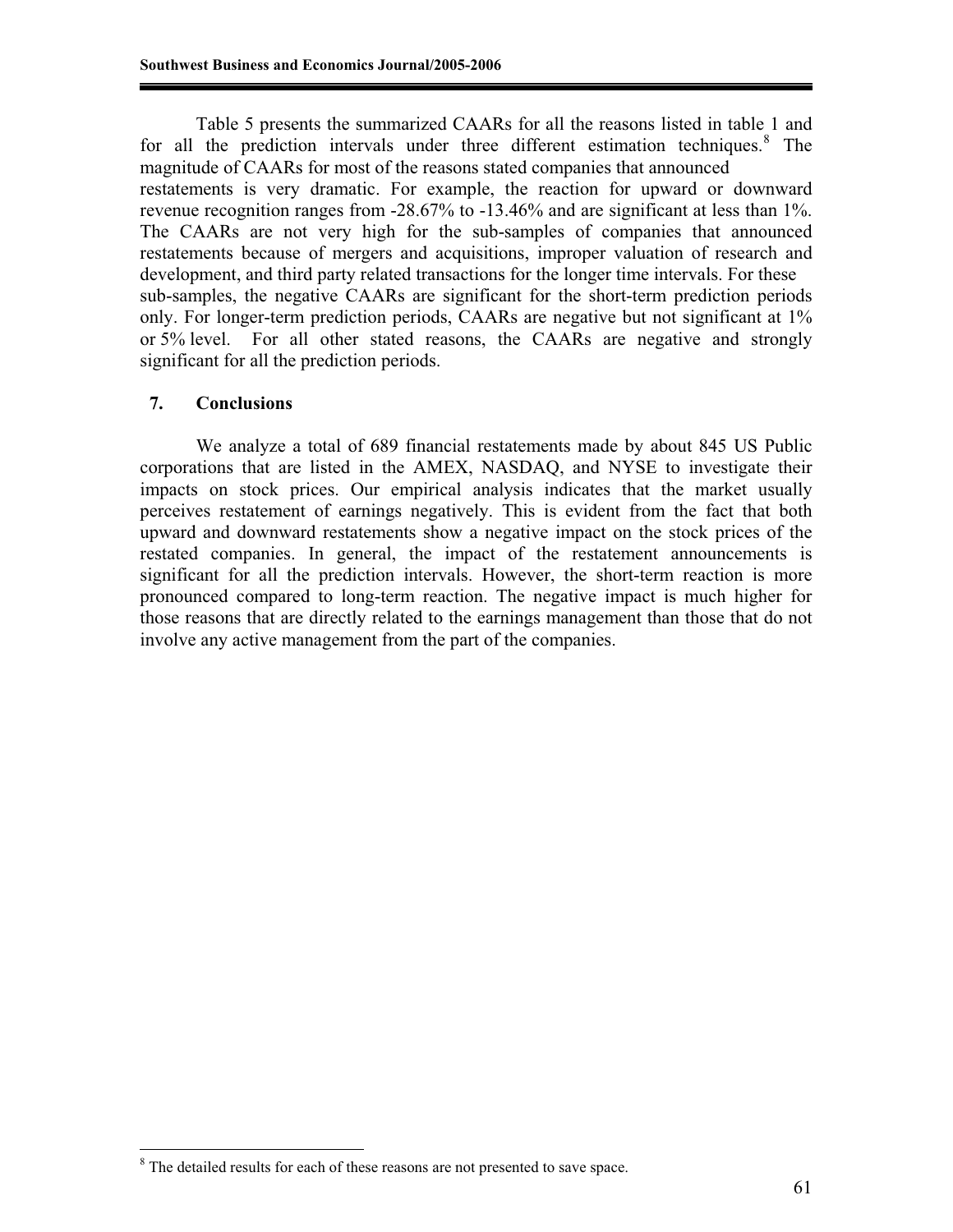Table 5 presents the summarized CAARs for all the reasons listed in table 1 and for all the prediction intervals under three different estimation techniques.<sup>8</sup> The magnitude of CAARs for most of the reasons stated companies that announced restatements is very dramatic. For example, the reaction for upward or downward revenue recognition ranges from -28.67% to -13.46% and are significant at less than 1%. The CAARs are not very high for the sub-samples of companies that announced restatements because of mergers and acquisitions, improper valuation of research and development, and third party related transactions for the longer time intervals. For these sub-samples, the negative CAARs are significant for the short-term prediction periods only. For longer-term prediction periods, CAARs are negative but not significant at 1% or 5% level. For all other stated reasons, the CAARs are negative and strongly significant for all the prediction periods.

#### **7. Conclusions**

 $\overline{a}$ 

We analyze a total of 689 financial restatements made by about 845 US Public corporations that are listed in the AMEX, NASDAQ, and NYSE to investigate their impacts on stock prices. Our empirical analysis indicates that the market usually perceives restatement of earnings negatively. This is evident from the fact that both upward and downward restatements show a negative impact on the stock prices of the restated companies. In general, the impact of the restatement announcements is significant for all the prediction intervals. However, the short-term reaction is more pronounced compared to long-term reaction. The negative impact is much higher for those reasons that are directly related to the earnings management than those that do not involve any active management from the part of the companies.

 $8$  The detailed results for each of these reasons are not presented to save space.